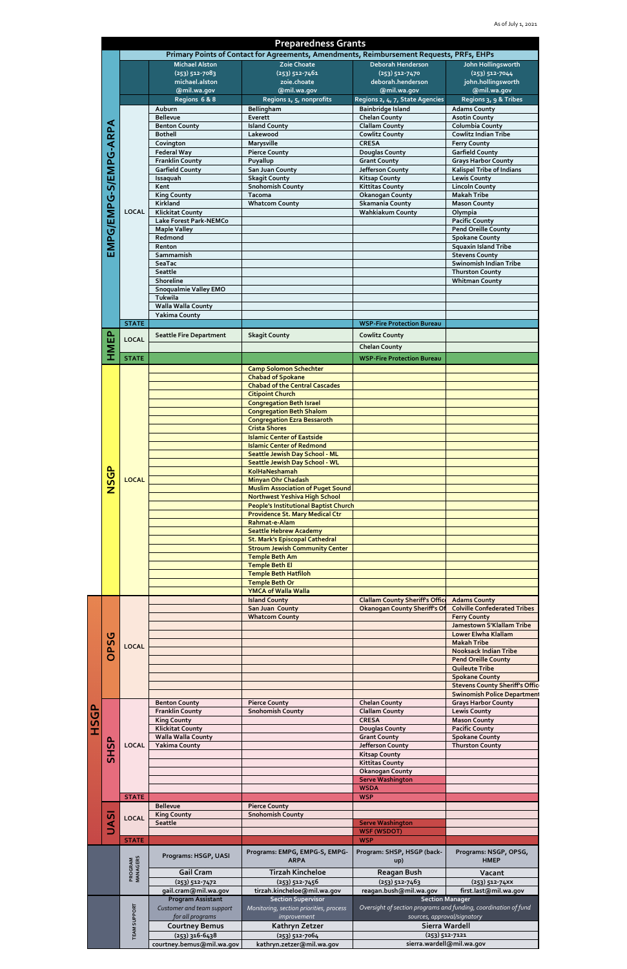|             |                              |                              |                                                      | <b>Preparedness Grants</b>                                                                              |                                                                                                |                                                                  |
|-------------|------------------------------|------------------------------|------------------------------------------------------|---------------------------------------------------------------------------------------------------------|------------------------------------------------------------------------------------------------|------------------------------------------------------------------|
|             |                              |                              | <b>Michael Alston</b>                                | Primary Points of Contact for Agreements, Amendments, Reimbursement Requests, PRFs, EHPs<br>Zoie Choate |                                                                                                | John Hollingsworth                                               |
|             |                              |                              | $(253) 512 - 7083$                                   | $(253) 512 - 7461$                                                                                      | Deborah Henderson<br>$(253) 512 - 7470$                                                        | $(253) 512 - 7044$                                               |
|             |                              |                              | michael.alston                                       | zoie.choate                                                                                             | deborah.henderson                                                                              | john.hollingsworth                                               |
|             |                              |                              | @mil.wa.gov                                          | @mil.wa.gov                                                                                             | @mil.wa.gov                                                                                    | @mil.wa.gov                                                      |
|             |                              |                              | Regions 6 & 8<br>Auburn                              | Regions 1, 5, nonprofits<br>Bellingham                                                                  | Regions 2, 4, 7, State Agencies<br><b>Bainbridge Island</b>                                    | Regions 3, 9 & Tribes<br><b>Adams County</b>                     |
|             |                              | <b>LOCAL</b>                 | <b>Bellevue</b>                                      | Everett                                                                                                 | <b>Chelan County</b>                                                                           | <b>Asotin County</b>                                             |
|             |                              |                              | <b>Benton County</b>                                 | <b>Island County</b>                                                                                    | <b>Clallam County</b>                                                                          | <b>Columbia County</b>                                           |
|             |                              |                              | <b>Bothell</b><br>Covington                          | Lakewood<br>Marysville                                                                                  | <b>Cowlitz County</b><br><b>CRESA</b>                                                          | <b>Cowlitz Indian Tribe</b><br><b>Ferry County</b>               |
|             | <b>EMPG/EMPG-S/EMPG-ARPA</b> |                              | <b>Federal Way</b>                                   | <b>Pierce County</b>                                                                                    | <b>Douglas County</b>                                                                          | <b>Garfield County</b>                                           |
|             |                              |                              | <b>Franklin County</b>                               | Puyallup                                                                                                | <b>Grant County</b>                                                                            | <b>Grays Harbor County</b>                                       |
|             |                              |                              | <b>Garfield County</b>                               | San Juan County                                                                                         | Jefferson County                                                                               | <b>Kalispel Tribe of Indians</b>                                 |
|             |                              |                              | Issaquah<br>Kent                                     | <b>Skagit County</b><br><b>Snohomish County</b>                                                         | <b>Kitsap County</b><br><b>Kittitas County</b>                                                 | <b>Lewis County</b><br><b>Lincoln County</b>                     |
|             |                              |                              | <b>King County</b>                                   | <b>Tacoma</b>                                                                                           | <b>Okanogan County</b>                                                                         | <b>Makah Tribe</b>                                               |
|             |                              |                              | Kirkland                                             | <b>Whatcom County</b>                                                                                   | Skamania County<br><b>Wahkiakum County</b>                                                     | <b>Mason County</b>                                              |
|             |                              |                              | <b>Klickitat County</b><br>Lake Forest Park-NEMCo    |                                                                                                         |                                                                                                | Olympia<br><b>Pacific County</b>                                 |
|             |                              |                              | <b>Maple Valley</b>                                  |                                                                                                         |                                                                                                | <b>Pend Oreille County</b>                                       |
|             |                              |                              | Redmond                                              |                                                                                                         |                                                                                                | <b>Spokane County</b>                                            |
|             |                              |                              | Renton<br>Sammamish                                  |                                                                                                         |                                                                                                | <b>Squaxin Island Tribe</b><br><b>Stevens County</b>             |
|             |                              |                              | SeaTac                                               |                                                                                                         |                                                                                                | Swinomish Indian Tribe                                           |
|             |                              |                              | Seattle                                              |                                                                                                         |                                                                                                | <b>Thurston County</b>                                           |
|             |                              |                              | Shoreline                                            |                                                                                                         |                                                                                                | <b>Whitman County</b>                                            |
|             |                              |                              | <b>Snoqualmie Valley EMO</b><br>Tukwila              |                                                                                                         |                                                                                                |                                                                  |
|             |                              |                              | Walla Walla County                                   |                                                                                                         |                                                                                                |                                                                  |
|             |                              |                              | <b>Yakima County</b>                                 |                                                                                                         |                                                                                                |                                                                  |
|             |                              | <b>STATE</b><br><b>LOCAL</b> |                                                      |                                                                                                         | <b>WSP-Fire Protection Bureau</b>                                                              |                                                                  |
|             |                              |                              | <b>Seattle Fire Department</b>                       | <b>Skagit County</b>                                                                                    | <b>Cowlitz County</b>                                                                          |                                                                  |
|             | <b>HMEP</b>                  |                              |                                                      |                                                                                                         | <b>Chelan County</b>                                                                           |                                                                  |
|             |                              | <b>STATE</b>                 |                                                      |                                                                                                         | <b>WSP-Fire Protection Bureau</b>                                                              |                                                                  |
|             |                              |                              |                                                      | <b>Camp Solomon Schechter</b><br><b>Chabad of Spokane</b>                                               |                                                                                                |                                                                  |
|             |                              | <b>LOCAL</b>                 |                                                      | <b>Chabad of the Central Cascades</b>                                                                   |                                                                                                |                                                                  |
|             |                              |                              |                                                      | <b>Citipoint Church</b>                                                                                 |                                                                                                |                                                                  |
|             |                              |                              |                                                      | <b>Congregation Beth Israel</b>                                                                         |                                                                                                |                                                                  |
|             |                              |                              |                                                      | <b>Congregation Beth Shalom</b><br><b>Congregation Ezra Bessaroth</b>                                   |                                                                                                |                                                                  |
|             |                              |                              |                                                      | <b>Crista Shores</b>                                                                                    |                                                                                                |                                                                  |
|             |                              |                              |                                                      | <b>Islamic Center of Eastside</b>                                                                       |                                                                                                |                                                                  |
|             |                              |                              |                                                      | <b>Islamic Center of Redmond</b><br>Seattle Jewish Day School - ML                                      |                                                                                                |                                                                  |
|             |                              |                              |                                                      | Seattle Jewish Day School - WL                                                                          |                                                                                                |                                                                  |
|             |                              |                              |                                                      | <b>KolHaNeshamah</b>                                                                                    |                                                                                                |                                                                  |
|             | <b>NSGP</b>                  |                              |                                                      | <b>Minyan Ohr Chadash</b>                                                                               |                                                                                                |                                                                  |
|             |                              |                              |                                                      | <b>Muslim Association of Puget Sound</b><br>Northwest Yeshiva High School                               |                                                                                                |                                                                  |
|             |                              |                              |                                                      | <b>People's Institutional Baptist Church</b>                                                            |                                                                                                |                                                                  |
|             |                              |                              |                                                      | <b>Providence St. Mary Medical Ctr</b>                                                                  |                                                                                                |                                                                  |
|             |                              |                              |                                                      | Rahmat-e-Alam<br><b>Seattle Hebrew Academy</b>                                                          |                                                                                                |                                                                  |
|             |                              |                              |                                                      | <b>St. Mark's Episcopal Cathedral</b>                                                                   |                                                                                                |                                                                  |
|             |                              |                              |                                                      | <b>Stroum Jewish Community Center</b>                                                                   |                                                                                                |                                                                  |
|             |                              |                              |                                                      | <b>Temple Beth Am</b><br><b>Temple Beth El</b>                                                          |                                                                                                |                                                                  |
|             |                              |                              |                                                      | <b>Temple Beth Hatfiloh</b>                                                                             |                                                                                                |                                                                  |
|             |                              |                              |                                                      | <b>Temple Beth Or</b>                                                                                   |                                                                                                |                                                                  |
|             |                              |                              |                                                      | <b>YMCA of Walla Walla</b><br><b>Island County</b>                                                      | <b>Clallam County Sheriff's Office</b>                                                         | <b>Adams County</b>                                              |
|             |                              |                              |                                                      | San Juan County                                                                                         | <b>Okanogan County Sheriff's Of</b>                                                            | <b>Colville Confederated Tribes</b>                              |
|             | <b>DPSG</b>                  | <b>LOCAL</b>                 |                                                      | <b>Whatcom County</b>                                                                                   |                                                                                                | <b>Ferry County</b>                                              |
|             |                              |                              |                                                      |                                                                                                         |                                                                                                | Jamestown S'Klallam Tribe<br><b>Lower Elwha Klallam</b>          |
|             |                              |                              |                                                      |                                                                                                         |                                                                                                | <b>Makah Tribe</b>                                               |
|             |                              |                              |                                                      |                                                                                                         |                                                                                                | <b>Nooksack Indian Tribe</b>                                     |
|             |                              |                              |                                                      |                                                                                                         |                                                                                                | <b>Pend Oreille County</b><br>Quileute Tribe                     |
|             |                              |                              |                                                      |                                                                                                         |                                                                                                | <b>Spokane County</b>                                            |
|             |                              |                              |                                                      |                                                                                                         |                                                                                                | <b>Stevens County Sheriff's Offic</b>                            |
|             |                              |                              | <b>Benton County</b>                                 | <b>Pierce County</b>                                                                                    | <b>Chelan County</b>                                                                           | <b>Swinomish Police Department</b><br><b>Grays Harbor County</b> |
|             |                              |                              | <b>Franklin County</b>                               | <b>Snohomish County</b>                                                                                 | <b>Clallam County</b>                                                                          | <b>Lewis County</b>                                              |
| <b>HSGP</b> |                              | <b>LOCAL</b>                 | <b>King County</b>                                   |                                                                                                         | <b>CRESA</b>                                                                                   | <b>Mason County</b>                                              |
|             |                              |                              | <b>Klickitat County</b><br><b>Walla Walla County</b> |                                                                                                         | <b>Douglas County</b><br><b>Grant County</b>                                                   | <b>Pacific County</b><br><b>Spokane County</b>                   |
|             | င္ဟ<br>풊<br>UASI             |                              | <b>Yakima County</b>                                 |                                                                                                         | Jefferson County                                                                               | <b>Thurston County</b>                                           |
|             |                              |                              |                                                      |                                                                                                         | <b>Kitsap County</b>                                                                           |                                                                  |
|             |                              |                              |                                                      |                                                                                                         | <b>Kittitas County</b>                                                                         |                                                                  |
|             |                              |                              |                                                      |                                                                                                         | <b>Okanogan County</b><br><b>Serve Washington</b>                                              |                                                                  |
|             |                              |                              |                                                      |                                                                                                         | <b>WSDA</b>                                                                                    |                                                                  |
|             |                              | <b>STATE</b>                 |                                                      |                                                                                                         | <b>WSP</b>                                                                                     |                                                                  |
|             |                              | <b>LOCAL</b>                 | <b>Bellevue</b><br><b>King County</b>                | <b>Pierce County</b><br><b>Snohomish County</b>                                                         |                                                                                                |                                                                  |
|             |                              |                              | <b>Seattle</b>                                       |                                                                                                         | <b>Serve Washington</b>                                                                        |                                                                  |
|             |                              |                              |                                                      |                                                                                                         | <b>WSF (WSDOT)</b>                                                                             |                                                                  |
|             |                              | <b>STATE</b>                 |                                                      |                                                                                                         | <b>WSP</b>                                                                                     |                                                                  |
|             |                              |                              | Programs: HSGP, UASI                                 | Programs: EMPG, EMPG-S, EMPG-<br><b>ARPA</b>                                                            | Program: SHSP, HSGP (back-<br>up)                                                              | Programs: NSGP, OPSG,<br><b>HMEP</b>                             |
|             |                              | <b>PROGRAM</b><br>MANAGERS   | <b>Gail Cram</b>                                     | <b>Tirzah Kincheloe</b>                                                                                 | <b>Reagan Bush</b>                                                                             |                                                                  |
|             |                              |                              | $(253) 512 - 7472$                                   | $(253)512 - 7456$                                                                                       | $(253) 512 - 7463$                                                                             | Vacant<br>(253) 512-74XX                                         |
|             |                              |                              | gail.cram@mil.wa.gov                                 | tirzah.kincheloe@mil.wa.gov                                                                             | reagan.bush@mil.wa.gov                                                                         | first.last@mil.wa.gov                                            |
|             |                              |                              | <b>Program Assistant</b>                             | <b>Section Supervisor</b>                                                                               | <b>Section Manager</b>                                                                         |                                                                  |
|             |                              |                              | Customer and team support<br>for all programs        | Monitoring, section priorities, process<br>improvement                                                  | Oversight of section programs and funding, coordination of fund<br>sources, approval/signatory |                                                                  |
|             |                              |                              | <b>Courtney Bemus</b>                                | Kathryn Zetzer                                                                                          | Sierra Wardell                                                                                 |                                                                  |
|             |                              | <b>TEAM SUPPORT</b>          | (253) 316-6438                                       | (253) 512-7064                                                                                          | $(253) 512 - 7121$                                                                             |                                                                  |
|             |                              |                              | courtney.bemus@mil.wa.gov                            | kathryn.zetzer@mil.wa.gov                                                                               | sierra.wardell@mil.wa.gov                                                                      |                                                                  |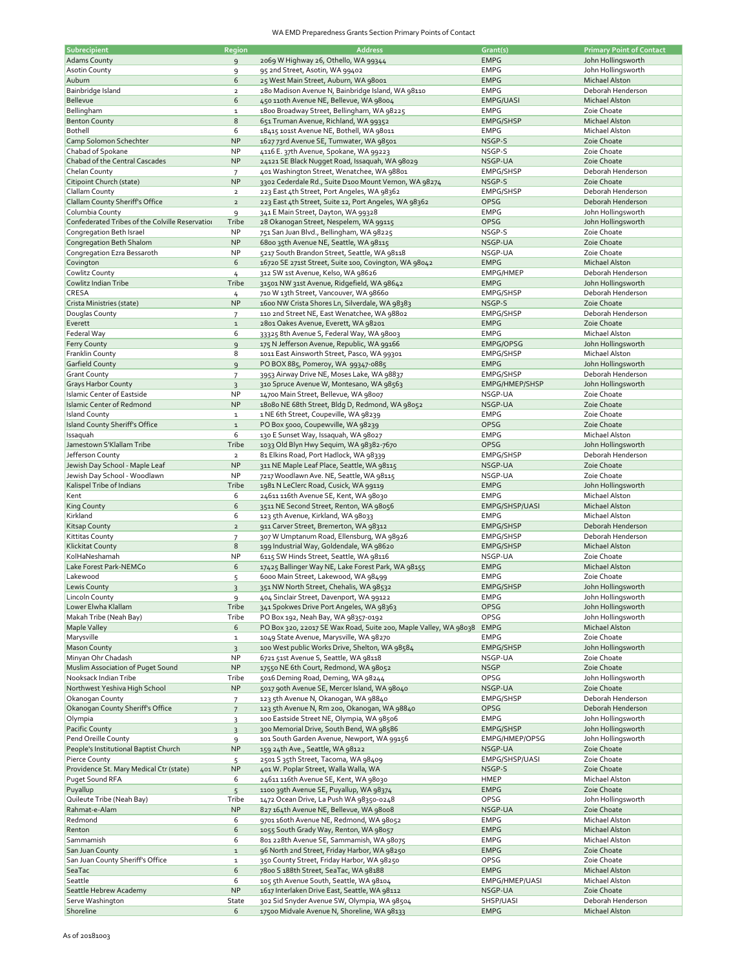## WA EMD Preparedness Grants Section Primary Points of Contact

| Subrecipient                                    | <b>Region</b>  | <b>Address</b>                                                                             | Grant(s)         | <b>Primary Point of Contact</b>     |
|-------------------------------------------------|----------------|--------------------------------------------------------------------------------------------|------------------|-------------------------------------|
| <b>Adams County</b>                             | $\overline{9}$ | 2069 W Highway 26, Othello, WA 99344                                                       | <b>EMPG</b>      | John Hollingsworth                  |
| <b>Asotin County</b>                            |                |                                                                                            | <b>EMPG</b>      | John Hollingsworth                  |
|                                                 | 9              | 95 2nd Street, Asotin, WA 99402                                                            |                  |                                     |
| Auburn                                          | 6              | 25 West Main Street, Auburn, WA 98001                                                      | <b>EMPG</b>      | Michael Alston                      |
| Bainbridge Island                               | $\overline{2}$ | 280 Madison Avenue N, Bainbridge Island, WA 98110                                          | <b>EMPG</b>      | Deborah Henderson                   |
| Bellevue                                        | 6              | 450 110th Avenue NE, Bellevue, WA 98004                                                    | <b>EMPG/UASI</b> | Michael Alston                      |
|                                                 |                |                                                                                            |                  |                                     |
| Bellingham                                      | $\mathbf 1$    | 1800 Broadway Street, Bellingham, WA 98225                                                 | <b>EMPG</b>      | Zoie Choate                         |
| <b>Benton County</b>                            | 8              | 651 Truman Avenue, Richland, WA 99352                                                      | EMPG/SHSP        | Michael Alston                      |
| <b>Bothell</b>                                  | 6              | 18415 101st Avenue NE, Bothell, WA 98011                                                   | <b>EMPG</b>      | Michael Alston                      |
|                                                 |                |                                                                                            |                  |                                     |
| Camp Solomon Schechter                          | <b>NP</b>      | 1627 73rd Avenue SE, Tumwater, WA 98501                                                    | NSGP-S           | Zoie Choate                         |
| Chabad of Spokane                               | <b>NP</b>      | 4116 E. 37th Avenue, Spokane, WA 99223                                                     | NSGP-S           | Zoie Choate                         |
| Chabad of the Central Cascades                  | NP             | 24121 SE Black Nugget Road, Issaquah, WA 98029                                             | NSGP-UA          | Zoie Choate                         |
|                                                 |                |                                                                                            |                  |                                     |
| Chelan County                                   | 7              | 401 Washington Street, Wenatchee, WA 98801                                                 | EMPG/SHSP        | Deborah Henderson                   |
| Citipoint Church (state)                        | <b>NP</b>      | 3302 Cederdale Rd., Suite D100 Mount Vernon, WA 98274                                      | NSGP-S           | Zoie Choate                         |
| Clallam County                                  | $\mathbf{2}$   | 223 East 4th Street, Port Angeles, WA 98362                                                | EMPG/SHSP        | Deborah Henderson                   |
|                                                 |                |                                                                                            |                  |                                     |
| Clallam County Sheriff's Office                 | $\overline{2}$ | 223 East 4th Street, Suite 12, Port Angeles, WA 98362                                      | OPSG             | Deborah Henderson                   |
| Columbia County                                 | 9              | 341 E Main Street, Dayton, WA 99328                                                        | <b>EMPG</b>      | John Hollingsworth                  |
| Confederated Tribes of the Colville Reservation | Tribe          | 28 Okanogan Street, Nespelem, WA 99115                                                     | OPSG             | John Hollingsworth                  |
|                                                 |                |                                                                                            |                  |                                     |
| Congregation Beth Israel                        | <b>NP</b>      | 751 San Juan Blvd., Bellingham, WA 98225                                                   | NSGP-S           | Zoie Choate                         |
| Congregation Beth Shalom                        | <b>NP</b>      | 6800 35th Avenue NE, Seattle, WA 98115                                                     | NSGP-UA          | Zoie Choate                         |
| Congregation Ezra Bessaroth                     | <b>NP</b>      | 5217 South Brandon Street, Seattle, WA 98118                                               | NSGP-UA          | Zoie Choate                         |
|                                                 |                |                                                                                            |                  |                                     |
| Covington                                       | 6              | 16720 SE 271st Street, Suite 100, Covington, WA 98042                                      | <b>EMPG</b>      | Michael Alston                      |
| Cowlitz County                                  | 4              | 312 SW 1st Avenue, Kelso, WA 98626                                                         | EMPG/HMEP        | Deborah Henderson                   |
| Cowlitz Indian Tribe                            | Tribe          | 31501 NW 31st Avenue, Ridgefield, WA 98642                                                 | <b>EMPG</b>      | John Hollingsworth                  |
|                                                 |                |                                                                                            |                  |                                     |
| CRESA                                           | 4              | 710 W 13th Street, Vancouver, WA 98660                                                     | EMPG/SHSP        | Deborah Henderson                   |
| Crista Ministries (state)                       | <b>NP</b>      | 1600 NW Crista Shores Ln, Silverdale, WA 98383                                             | NSGP-S           | Zoie Choate                         |
| Douglas County                                  | $\overline{7}$ | 110 2nd Street NE, East Wenatchee, WA 98802                                                | EMPG/SHSP        | Deborah Henderson                   |
|                                                 |                |                                                                                            |                  | Zoie Choate                         |
| Everett                                         | $\mathbf 1$    | 2801 Oakes Avenue, Everett, WA 98201                                                       | <b>EMPG</b>      |                                     |
| Federal Way                                     | 6              | 33325 8th Avenue S, Federal Way, WA 98003                                                  | <b>EMPG</b>      | Michael Alston                      |
| <b>Ferry County</b>                             | 9              | 175 N Jefferson Avenue, Republic, WA 99166                                                 | EMPG/OPSG        | John Hollingsworth                  |
|                                                 | 8              | 1011 East Ainsworth Street, Pasco, WA 99301                                                |                  |                                     |
| <b>Franklin County</b>                          |                |                                                                                            | EMPG/SHSP        | Michael Alston                      |
| <b>Garfield County</b>                          | $\overline{9}$ | PO BOX 885, Pomeroy, WA 99347-0885                                                         | <b>EMPG</b>      | John Hollingsworth                  |
| <b>Grant County</b>                             | $\overline{7}$ | 3953 Airway Drive NE, Moses Lake, WA 98837                                                 | EMPG/SHSP        | Deborah Henderson                   |
| <b>Grays Harbor County</b>                      |                |                                                                                            |                  | John Hollingsworth                  |
|                                                 | $\overline{3}$ | 310 Spruce Avenue W, Montesano, WA 98563                                                   | EMPG/HMEP/SHSP   |                                     |
| <b>Islamic Center of Eastside</b>               | <b>NP</b>      | 14700 Main Street, Bellevue, WA 98007                                                      | NSGP-UA          | Zoie Choate                         |
| <b>Islamic Center of Redmond</b>                | <b>NP</b>      | 18080 NE 68th Street, Bldg D, Redmond, WA 98052                                            | NSGP-UA          | Zoie Choate                         |
| <b>Island County</b>                            |                |                                                                                            | <b>EMPG</b>      | Zoie Choate                         |
|                                                 | $\mathbf 1$    | 1 NE 6th Street, Coupeville, WA 98239                                                      |                  |                                     |
| Island County Sheriff's Office                  | $\mathbf 1$    | PO Box 5000, Coupewville, WA 98239                                                         | OPSG             | Zoie Choate                         |
| Issaquah                                        | 6              | 130 E Sunset Way, Issaquah, WA 98027                                                       | <b>EMPG</b>      | Michael Alston                      |
| Jamestown S'Klallam Tribe                       | Tribe          |                                                                                            | OPSG             | John Hollingsworth                  |
|                                                 |                | 1033 Old Blyn Hwy Sequim, WA 98382-7670                                                    |                  |                                     |
| Jefferson County                                | $\overline{2}$ | 81 Elkins Road, Port Hadlock, WA 98339                                                     | EMPG/SHSP        | Deborah Henderson                   |
| Jewish Day School - Maple Leaf                  | <b>NP</b>      | 311 NE Maple Leaf Place, Seattle, WA 98115                                                 | NSGP-UA          | Zoie Choate                         |
| Jewish Day School - Woodlawn                    | <b>NP</b>      | 7217 Woodlawn Ave. NE, Seattle, WA 98115                                                   | NSGP-UA          | Zoie Choate                         |
|                                                 |                |                                                                                            |                  |                                     |
| Kalispel Tribe of Indians                       | Tribe          | 1981 N LeClerc Road, Cusick, WA 99119                                                      | <b>EMPG</b>      | John Hollingsworth                  |
| Kent                                            | 6              | 24611 116th Avenue SE, Kent, WA 98030                                                      | <b>EMPG</b>      | Michael Alston                      |
| <b>King County</b>                              | 6              | 3511 NE Second Street, Renton, WA 98056                                                    | EMPG/SHSP/UASI   | Michael Alston                      |
|                                                 |                |                                                                                            |                  |                                     |
| Kirkland                                        | 6              | 123 5th Avenue, Kirkland, WA 98033                                                         | <b>EMPG</b>      | Michael Alston                      |
|                                                 |                |                                                                                            | EMPG/SHSP        | Deborah Henderson                   |
|                                                 | $\overline{2}$ |                                                                                            |                  |                                     |
| <b>Kitsap County</b>                            |                | 911 Carver Street, Bremerton, WA 98312                                                     |                  |                                     |
| <b>Kittitas County</b>                          | $\overline{7}$ | 307 W Umptanum Road, Ellensburg, WA 98926                                                  | EMPG/SHSP        | Deborah Henderson                   |
| <b>Klickitat County</b>                         | 8              | 198620 199 Industrial Way, Goldendale, WA                                                  | EMPG/SHSP        | Michael Alston                      |
| KolHaNeshamah                                   | <b>NP</b>      |                                                                                            |                  | Zoie Choate                         |
|                                                 |                | 6115 SW Hinds Street, Seattle, WA 98116                                                    | NSGP-UA          |                                     |
| Lake Forest Park-NEMCo                          | 6              | 17425 Ballinger Way NE, Lake Forest Park, WA 98155                                         | <b>EMPG</b>      | Michael Alston                      |
| Lakewood                                        | 5              | 6000 Main Street, Lakewood, WA 98499                                                       | <b>EMPG</b>      | Zoie Choate                         |
| <b>Lewis County</b>                             | $\overline{3}$ | 351 NW North Street, Chehalis, WA 98532                                                    | EMPG/SHSP        | John Hollingsworth                  |
|                                                 |                |                                                                                            |                  |                                     |
| Lincoin County                                  | 9              | 404 Sinclair Street, Davenport, WA 99122                                                   | EMPG             | John Hollingsworth                  |
| Lower Elwha Klallam                             | Tribe          | 341 Spokwes Drive Port Angeles, WA 98363                                                   | OPSG             | John Hollingsworth                  |
| Makah Tribe (Neah Bay)                          | Tribe          | PO Box 192, Neah Bay, WA 98357-0192                                                        | OPSG             | John Hollingsworth                  |
|                                                 |                |                                                                                            |                  |                                     |
| <b>Maple Valley</b>                             | 6              | PO Box 320, 22017 SE Wax Road, Suite 200, Maple Valley, WA 98038                           | <b>EMPG</b>      | Michael Alston                      |
| Marysville                                      | $\mathbf 1$    | 1049 State Avenue, Marysville, WA 98270                                                    | <b>EMPG</b>      | Zoie Choate                         |
| <b>Mason County</b>                             | 3              | 100 West public Works Drive, Shelton, WA 98584                                             | EMPG/SHSP        | John Hollingsworth                  |
| Minyan Ohr Chadash                              | <b>NP</b>      | 6721 51st Avenue S, Seattle, WA 98118                                                      | NSGP-UA          | Zoie Choate                         |
|                                                 |                |                                                                                            |                  |                                     |
| Muslim Association of Puget Sound               | NP             | 17550 NE 6th Court, Redmond, WA 98052                                                      | <b>NSGP</b>      | Zoie Choate                         |
| Nooksack Indian Tribe                           | Tribe          | 5016 Deming Road, Deming, WA 98244                                                         | OPSG             | John Hollingsworth                  |
| Northwest Yeshiva High School                   | <b>NP</b>      | 5017 90th Avenue SE, Mercer Island, WA 98040                                               | NSGP-UA          | Zoie Choate                         |
|                                                 |                |                                                                                            |                  |                                     |
| Okanogan County                                 | $\overline{7}$ | 123 5th Avenue N, Okanogan, WA 98840                                                       | EMPG/SHSP        | Deborah Henderson                   |
| Okanogan County Sheriff's Office                | $\overline{7}$ | 123 5th Avenue N, Rm 200, Okanogan, WA 98840                                               | OPSG             | Deborah Henderson                   |
| Olympia                                         | 3              | 100 Eastside Street NE, Olympia, WA 98506                                                  | <b>EMPG</b>      | John Hollingsworth                  |
|                                                 |                |                                                                                            |                  |                                     |
| <b>Pacific County</b>                           | $\overline{3}$ | 300 Memorial Drive, South Bend, WA 98586                                                   | EMPG/SHSP        | John Hollingsworth                  |
| Pend Oreille County                             | 9              | 101 South Garden Avenue, Newport, WA 99156                                                 | EMPG/HMEP/OPSG   | John Hollingsworth                  |
| People's Institutional Baptist Church           | <b>NP</b>      | 159 24th Ave., Seattle, WA 98122                                                           | NSGP-UA          | Zoie Choate                         |
|                                                 |                |                                                                                            |                  |                                     |
| <b>Pierce County</b>                            | 5              | 2501 S 35th Street, Tacoma, WA 98409                                                       | EMPG/SHSP/UASI   | Zoie Choate                         |
| Providence St. Mary Medical Ctr (state)         | <b>NP</b>      | 401 W. Poplar Street, Walla Walla, WA                                                      | NSGP-S           | Zoie Choate                         |
| Puget Sound RFA                                 | 6              | 24611 116th Avenue SE, Kent, WA 98030                                                      | HMEP             | Michael Alston                      |
|                                                 |                |                                                                                            |                  |                                     |
| Puyallup                                        | 5              | 1100 39th Avenue SE, Puyallup, WA 98374                                                    | <b>EMPG</b>      | Zoie Choate                         |
| Quileute Tribe (Neah Bay)                       | Tribe          | 1472 Ocean Drive, La Push WA 98350-0248                                                    | OPSG             | John Hollingsworth                  |
| Rahmat-e-Alam                                   | NP             | 827 164th Avenue NE, Bellevue, WA 98008                                                    | NSGP-UA          | Zoie Choate                         |
|                                                 |                |                                                                                            |                  |                                     |
| Redmond                                         | 6              | 9701 160th Avenue NE, Redmond, WA 98052                                                    | <b>EMPG</b>      | Michael Alston                      |
| Renton                                          | $\sqrt{6}$     | 1055 South Grady Way, Renton, WA 98057                                                     | <b>EMPG</b>      | Michael Alston                      |
| Sammamish                                       | 6              | 801 228th Avenue SE, Sammamish, WA 98075                                                   | <b>EMPG</b>      | Michael Alston                      |
|                                                 |                |                                                                                            |                  |                                     |
| San Juan County                                 | $\mathbf 1$    | 96 North 2nd Street, Friday Harbor, WA 98250                                               | <b>EMPG</b>      | Zoie Choate                         |
| San Juan County Sheriff's Office                | $\mathbf 1$    | 350 County Street, Friday Harbor, WA 98250                                                 | OPSG             | Zoie Choate                         |
| SeaTac                                          | 6              | 7800 S 188th Street, SeaTac, WA 98188                                                      | <b>EMPG</b>      | Michael Alston                      |
|                                                 | 6              |                                                                                            |                  |                                     |
| Seattle                                         |                | 105 5th Avenue South, Seattle, WA 98104                                                    | EMPG/HMEP/UASI   | Michael Alston                      |
| Seattle Hebrew Academy                          | NP             | 1617 Interlaken Drive East, Seattle, WA 98112                                              | NSGP-UA          | Zoie Choate                         |
| Serve Washington<br>Shoreline                   | State          | 302 Sid Snyder Avenue SW, Olympia, WA 98504<br>17500 Midvale Avenue N, Shoreline, WA 98133 | SHSP/UASI        | Deborah Henderson<br>Michael Alston |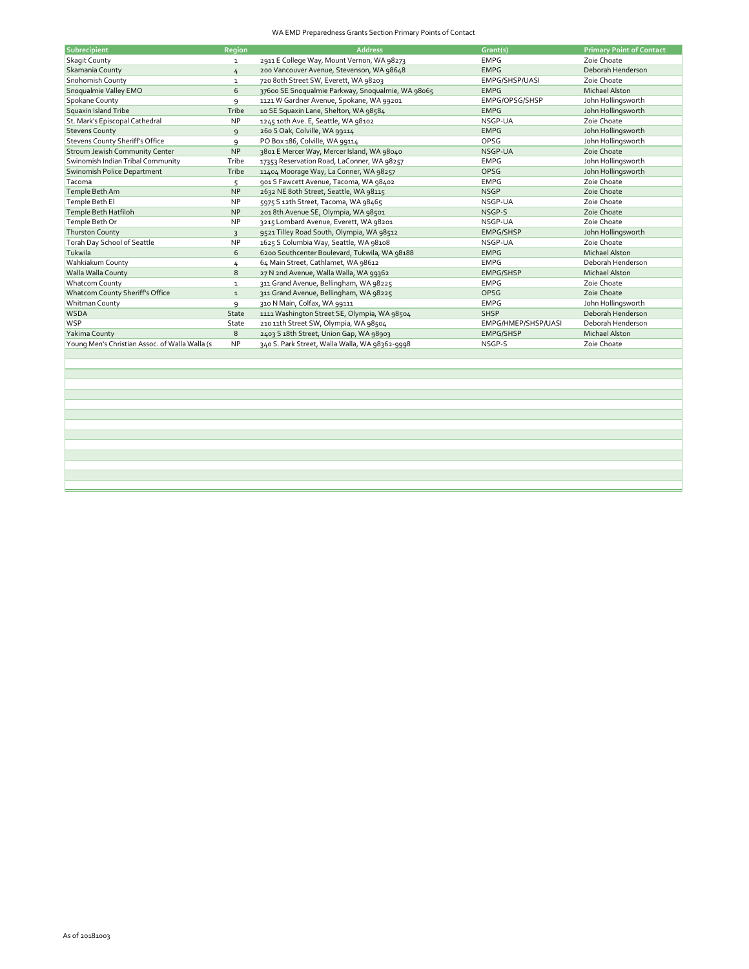## WA EMD Preparedness Grants Section Primary Points of Contact

| Subrecipient                                    | Region       | <b>Address</b>                                    | Grant(s)            | <b>Primary Point of Contact</b> |
|-------------------------------------------------|--------------|---------------------------------------------------|---------------------|---------------------------------|
| <b>Skagit County</b>                            | $\mathbf{1}$ | 2911 E College Way, Mount Vernon, WA 98273        | <b>EMPG</b>         | Zoie Choate                     |
| Skamania County                                 | 4            | 200 Vancouver Avenue, Stevenson, WA 98648         | <b>EMPG</b>         | Deborah Henderson               |
| Snohomish County                                | $\mathbf{1}$ | 720 8oth Street SW, Everett, WA 98203             | EMPG/SHSP/UASI      | Zoie Choate                     |
| Snoqualmie Valley EMO                           | 6            | 37600 SE Snoqualmie Parkway, Snoqualmie, WA 98065 | <b>EMPG</b>         | <b>Michael Alston</b>           |
| Spokane County                                  | 9            | 1121 W Gardner Avenue, Spokane, WA 99201          | EMPG/OPSG/SHSP      | John Hollingsworth              |
| Squaxin Island Tribe                            | Tribe        | 10 SE Squaxin Lane, Shelton, WA 98584             | <b>EMPG</b>         | John Hollingsworth              |
| St. Mark's Episcopal Cathedral                  | <b>NP</b>    | 1245 10th Ave. E, Seattle, WA 98102               | NSGP-UA             | Zoie Choate                     |
| <b>Stevens County</b>                           | 9            | 260 S Oak, Colville, WA 99114                     | <b>EMPG</b>         | John Hollingsworth              |
| <b>Stevens County Sheriff's Office</b>          | 9            | PO Box 186, Colville, WA 99114                    | OPSG                | John Hollingsworth              |
| <b>Stroum Jewish Community Center</b>           | <b>NP</b>    | 3801 E Mercer Way, Mercer Island, WA 98040        | NSGP-UA             | Zoie Choate                     |
| Swinomish Indian Tribal Community               | Tribe        | 17353 Reservation Road, LaConner, WA 98257        | <b>EMPG</b>         | John Hollingsworth              |
| Swinomish Police Department                     | Tribe        | 11404 Moorage Way, La Conner, WA 98257            | OPSG                | John Hollingsworth              |
| Tacoma                                          | 5            | 901 S Fawcett Avenue, Tacoma, WA 98402            | <b>EMPG</b>         | Zoie Choate                     |
| Temple Beth Am                                  | <b>NP</b>    | 2632 NE 8oth Street, Seattle, WA 98115            | <b>NSGP</b>         | Zoie Choate                     |
| Temple Beth El                                  | <b>NP</b>    | 5975 S 12th Street, Tacoma, WA 98465              | NSGP-UA             | Zoie Choate                     |
| Temple Beth Hatfiloh                            | <b>NP</b>    | 201 8th Avenue SE, Olympia, WA 98501              | NSGP-S              | Zoie Choate                     |
| Temple Beth Or                                  | <b>NP</b>    | 3215 Lombard Avenue, Everett, WA 98201            | NSGP-UA             | Zoie Choate                     |
| <b>Thurston County</b>                          | 3            | 9521 Tilley Road South, Olympia, WA 98512         | EMPG/SHSP           | John Hollingsworth              |
| Torah Day School of Seattle                     | <b>NP</b>    | 1625 S Columbia Way, Seattle, WA 98108            | NSGP-UA             | Zoie Choate                     |
| Tukwila                                         | 6            | 6200 Southcenter Boulevard, Tukwila, WA 98188     | <b>EMPG</b>         | <b>Michael Alston</b>           |
| Wahkiakum County                                | 4            | 64 Main Street, Cathlamet, WA 98612               | <b>EMPG</b>         | Deborah Henderson               |
| Walla Walla County                              | 8            | 27 N 2nd Avenue, Walla Walla, WA 99362            | <b>EMPG/SHSP</b>    | <b>Michael Alston</b>           |
| <b>Whatcom County</b>                           | $\mathbf 1$  | 311 Grand Avenue, Bellingham, WA 98225            | <b>EMPG</b>         | Zoie Choate                     |
| <b>Whatcom County Sheriff's Office</b>          | $\mathbf{1}$ | 311 Grand Avenue, Bellingham, WA 98225            | OPSG                | Zoie Choate                     |
| <b>Whitman County</b>                           | 9            | 310 N Main, Colfax, WA 99111                      | <b>EMPG</b>         | John Hollingsworth              |
| <b>WSDA</b>                                     | State        | 1111 Washington Street SE, Olympia, WA 98504      | <b>SHSP</b>         | Deborah Henderson               |
| <b>WSP</b>                                      | State        | 210 11th Street SW, Olympia, WA 98504             | EMPG/HMEP/SHSP/UASI | Deborah Henderson               |
| Yakima County                                   | 8            | 2403 S 18th Street, Union Gap, WA 98903           | EMPG/SHSP           | <b>Michael Alston</b>           |
| Young Men's Christian Assoc. of Walla Walla (s) | <b>NP</b>    | 340 S. Park Street, Walla Walla, WA 98362-9998    | NSGP-S              | Zoie Choate                     |
|                                                 |              |                                                   |                     |                                 |
|                                                 |              |                                                   |                     |                                 |
|                                                 |              |                                                   |                     |                                 |